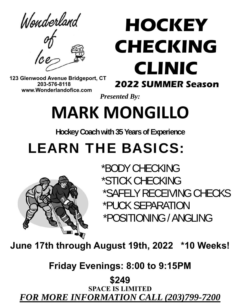Wonderland

# **HOCKEY CHECKING CLINIC**

 **123 Glenwood Avenue Bridgeport, CT 203-576-8118 www.Wonderlandofice.com**

## **2022 SUMMER Season**

*Presented By:* 

# **MARK MONGILLO**

**Hockey Coach with 35 Years of Experience** 

## LEARN THE BASICS:



 \*BODY CHECKING \*STICK CHECKING \*SAFELY RECEIVING CHECKS \*PUCK SEPARATION \*POSITIONING / ANGLING

**June 17th through August 19th, 2022 \*10 Weeks!** 

**Friday Evenings: 8:00 to 9:15PM** 

**\$249**

**SPACE IS LIMITED** *FOR MORE INFORMATION CALL (203)799-7200*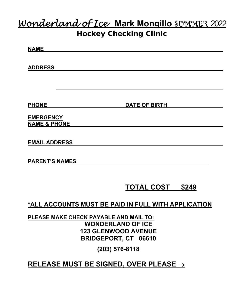### *Wonderland of Ice* **Mark Mongillo** SUMMER 2022 **Hockey Checking Clinic**

| <b>NAME</b>                                         |                            |
|-----------------------------------------------------|----------------------------|
| <b>ADDRESS</b>                                      |                            |
|                                                     |                            |
| <b>PHONE</b>                                        | <b>DATE OF BIRTH</b>       |
| <b>EMERGENCY</b><br><b>NAME &amp; PHONE</b>         |                            |
|                                                     |                            |
| <b>EMAIL ADDRESS</b>                                |                            |
| <b>PARENT'S NAMES</b>                               |                            |
|                                                     | <b>TOTAL COST</b><br>\$249 |
| *ALL ACCOUNTS MUST BE PAID IN FULL WITH APPLICATION |                            |

**PLEASE MAKE CHECK PAYABLE AND MAIL TO: WONDERLAND OF ICE 123 GLENWOOD AVENUE BRIDGEPORT, CT 06610** 

**(203) 576-8118** 

**RELEASE MUST BE SIGNED, OVER PLEASE**